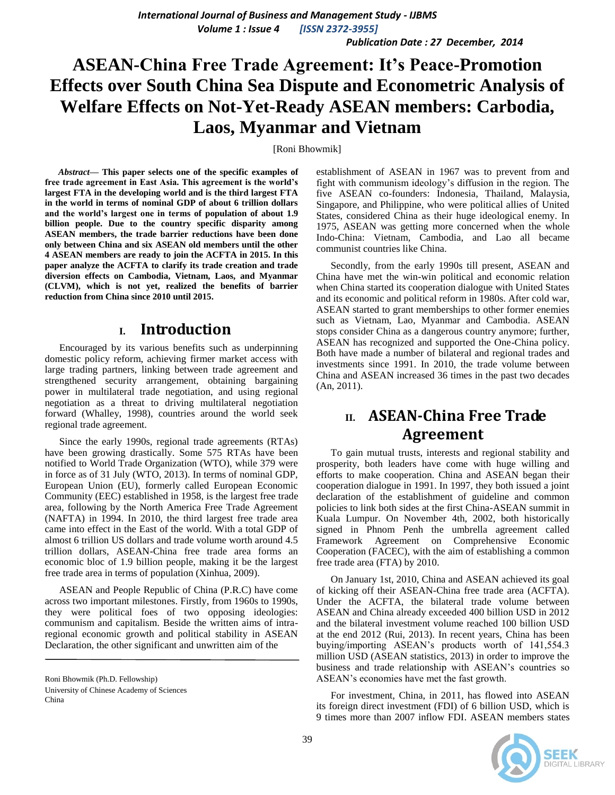*Volume 1 : Issue 4 [ISSN 2372-3955]*

*Publication Date : 27 December, 2014*

# **ASEAN-China Free Trade Agreement: It's Peace-Promotion Effects over South China Sea Dispute and Econometric Analysis of Welfare Effects on Not-Yet-Ready ASEAN members: Carbodia, Laos, Myanmar and Vietnam**

[Roni Bhowmik]

*Abstract***— This paper selects one of the specific examples of free trade agreement in East Asia. This agreement is the world's largest FTA in the developing world and is the third largest FTA in the world in terms of nominal GDP of about 6 trillion dollars and the world's largest one in terms of population of about 1.9 billion people. Due to the country specific disparity among ASEAN members, the trade barrier reductions have been done only between China and six ASEAN old members until the other 4 ASEAN members are ready to join the ACFTA in 2015. In this paper analyze the ACFTA to clarify its trade creation and trade diversion effects on Cambodia, Vietnam, Laos, and Myanmar (CLVM), which is not yet, realized the benefits of barrier reduction from China since 2010 until 2015.**

### **I. Introduction**

Encouraged by its various benefits such as underpinning domestic policy reform, achieving firmer market access with large trading partners, linking between trade agreement and strengthened security arrangement, obtaining bargaining power in multilateral trade negotiation, and using regional negotiation as a threat to driving multilateral negotiation forward (Whalley, 1998), countries around the world seek regional trade agreement.

Since the early 1990s, regional trade agreements (RTAs) have been growing drastically. Some 575 RTAs have been notified to World Trade Organization (WTO), while 379 were in force as of 31 July (WTO, 2013). In terms of nominal GDP, European Union (EU), formerly called European Economic Community (EEC) established in 1958, is the largest free trade area, following by the North America Free Trade Agreement (NAFTA) in 1994. In 2010, the third largest free trade area came into effect in the East of the world. With a total GDP of almost 6 trillion US dollars and trade volume worth around 4.5 trillion dollars, ASEAN-China free trade area forms an economic bloc of 1.9 billion people, making it be the largest free trade area in terms of population (Xinhua, 2009).

ASEAN and People Republic of China (P.R.C) have come across two important milestones. Firstly, from 1960s to 1990s, they were political foes of two opposing ideologies: communism and capitalism. Beside the written aims of intraregional economic growth and political stability in ASEAN Declaration, the other significant and unwritten aim of the

establishment of ASEAN in 1967 was to prevent from and fight with communism ideology"s diffusion in the region. The five ASEAN co-founders: Indonesia, Thailand, Malaysia, Singapore, and Philippine, who were political allies of United States, considered China as their huge ideological enemy. In 1975, ASEAN was getting more concerned when the whole Indo-China: Vietnam, Cambodia, and Lao all became communist countries like China.

Secondly, from the early 1990s till present, ASEAN and China have met the win-win political and economic relation when China started its cooperation dialogue with United States and its economic and political reform in 1980s. After cold war, ASEAN started to grant memberships to other former enemies such as Vietnam, Lao, Myanmar and Cambodia. ASEAN stops consider China as a dangerous country anymore; further, ASEAN has recognized and supported the One-China policy. Both have made a number of bilateral and regional trades and investments since 1991. In 2010, the trade volume between China and ASEAN increased 36 times in the past two decades (An, 2011).

### **II. ASEAN-China Free Trade Agreement**

To gain mutual trusts, interests and regional stability and prosperity, both leaders have come with huge willing and efforts to make cooperation. China and ASEAN began their cooperation dialogue in 1991. In 1997, they both issued a joint declaration of the establishment of guideline and common policies to link both sides at the first China-ASEAN summit in Kuala Lumpur. On November 4th, 2002, both historically signed in Phnom Penh the umbrella agreement called Framework Agreement on Comprehensive Economic Cooperation (FACEC), with the aim of establishing a common free trade area (FTA) by 2010.

On January 1st, 2010, China and ASEAN achieved its goal of kicking off their ASEAN-China free trade area (ACFTA). Under the ACFTA, the bilateral trade volume between ASEAN and China already exceeded 400 billion USD in 2012 and the bilateral investment volume reached 100 billion USD at the end 2012 (Rui, 2013). In recent years, China has been buying/importing ASEAN"s products worth of 141,554.3 million USD (ASEAN statistics, 2013) in order to improve the business and trade relationship with ASEAN"s countries so ASEAN"s economies have met the fast growth.

For investment, China, in 2011, has flowed into ASEAN its foreign direct investment (FDI) of 6 billion USD, which is 9 times more than 2007 inflow FDI. ASEAN members states



Roni Bhowmik (Ph.D. Fellowship) University of Chinese Academy of Sciences China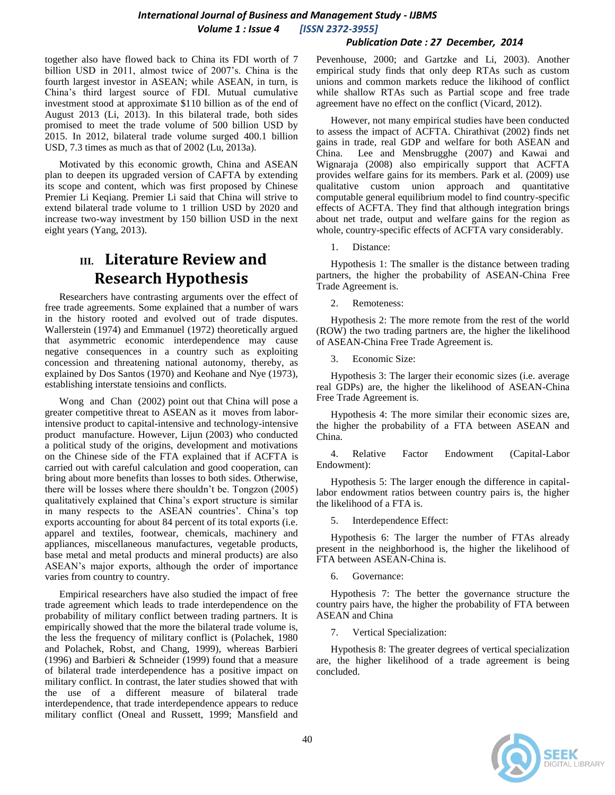#### *Publication Date : 27 December, 2014*

together also have flowed back to China its FDI worth of 7 billion USD in 2011, almost twice of 2007's. China is the fourth largest investor in ASEAN; while ASEAN, in turn, is China"s third largest source of FDI. Mutual cumulative investment stood at approximate \$110 billion as of the end of August 2013 (Li, 2013). In this bilateral trade, both sides promised to meet the trade volume of 500 billion USD by 2015. In 2012, bilateral trade volume surged 400.1 billion USD, 7.3 times as much as that of 2002 (Lu, 2013a).

Motivated by this economic growth, China and ASEAN plan to deepen its upgraded version of CAFTA by extending its scope and content, which was first proposed by Chinese Premier Li Keqiang. Premier Li said that China will strive to extend bilateral trade volume to 1 trillion USD by 2020 and increase two-way investment by 150 billion USD in the next eight years (Yang, 2013).

## **III. Literature Review and Research Hypothesis**

Researchers have contrasting arguments over the effect of free trade agreements. Some explained that a number of wars in the history rooted and evolved out of trade disputes. Wallerstein (1974) and Emmanuel (1972) theoretically argued that asymmetric economic interdependence may cause negative consequences in a country such as exploiting concession and threatening national autonomy, thereby, as explained by Dos Santos (1970) and Keohane and Nye (1973), establishing interstate tensioins and conflicts.

Wong and Chan (2002) point out that China will pose a greater competitive threat to ASEAN as it moves from laborintensive product to capital-intensive and technology-intensive product manufacture. However, Lijun (2003) who conducted a political study of the origins, development and motivations on the Chinese side of the FTA explained that if ACFTA is carried out with careful calculation and good cooperation, can bring about more benefits than losses to both sides. Otherwise, there will be losses where there shouldn"t be. Tongzon (2005) qualitatively explained that China"s export structure is similar in many respects to the ASEAN countries'. China's top exports accounting for about 84 percent of its total exports (i.e. apparel and textiles, footwear, chemicals, machinery and appliances, miscellaneous manufactures, vegetable products, base metal and metal products and mineral products) are also ASEAN"s major exports, although the order of importance varies from country to country.

Empirical researchers have also studied the impact of free trade agreement which leads to trade interdependence on the probability of military conflict between trading partners. It is empirically showed that the more the bilateral trade volume is, the less the frequency of military conflict is (Polachek, 1980 and Polachek, Robst, and Chang, 1999), whereas Barbieri (1996) and Barbieri & Schneider (1999) found that a measure of bilateral trade interdependence has a positive impact on military conflict. In contrast, the later studies showed that with the use of a different measure of bilateral trade interdependence, that trade interdependence appears to reduce military conflict (Oneal and Russett, 1999; Mansfield and Pevenhouse, 2000; and Gartzke and Li, 2003). Another empirical study finds that only deep RTAs such as custom unions and common markets reduce the likihood of conflict while shallow RTAs such as Partial scope and free trade agreement have no effect on the conflict (Vicard, 2012).

However, not many empirical studies have been conducted to assess the impact of ACFTA. Chirathivat (2002) finds net gains in trade, real GDP and welfare for both ASEAN and China. Lee and Mensbrugghe (2007) and Kawai and Wignaraja (2008) also empirically support that ACFTA provides welfare gains for its members. Park et al. (2009) use qualitative custom union approach and quantitative computable general equilibrium model to find country-specific effects of ACFTA. They find that although integration brings about net trade, output and welfare gains for the region as whole, country-specific effects of ACFTA vary considerably.

1. Distance:

Hypothesis 1: The smaller is the distance between trading partners, the higher the probability of ASEAN-China Free Trade Agreement is.

2. Remoteness:

Hypothesis 2: The more remote from the rest of the world (ROW) the two trading partners are, the higher the likelihood of ASEAN-China Free Trade Agreement is.

3. Economic Size:

Hypothesis 3: The larger their economic sizes (i.e. average real GDPs) are, the higher the likelihood of ASEAN-China Free Trade Agreement is.

Hypothesis 4: The more similar their economic sizes are, the higher the probability of a FTA between ASEAN and China.

4. Relative Factor Endowment (Capital-Labor Endowment):

Hypothesis 5: The larger enough the difference in capitallabor endowment ratios between country pairs is, the higher the likelihood of a FTA is.

5. Interdependence Effect:

Hypothesis 6: The larger the number of FTAs already present in the neighborhood is, the higher the likelihood of FTA between ASEAN-China is.

6. Governance:

Hypothesis 7: The better the governance structure the country pairs have, the higher the probability of FTA between ASEAN and China

7. Vertical Specialization:

Hypothesis 8: The greater degrees of vertical specialization are, the higher likelihood of a trade agreement is being concluded.

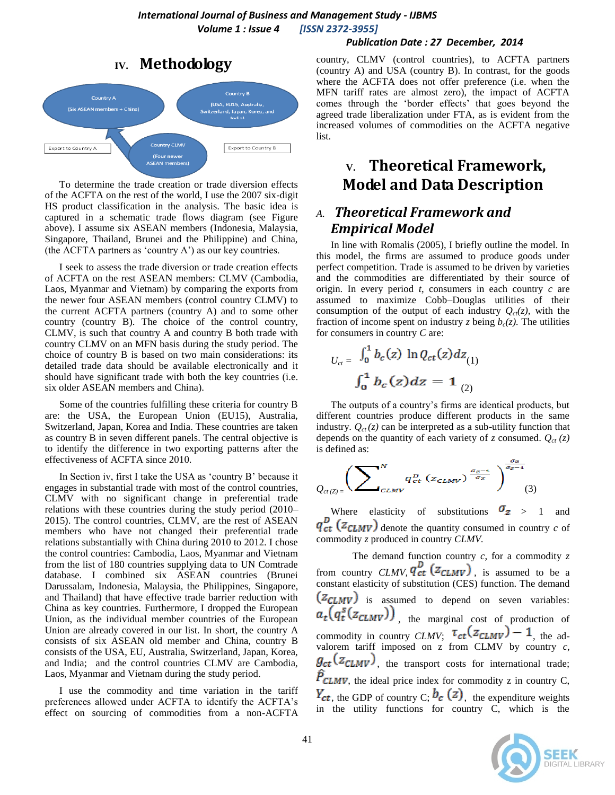#### **IV. Methodology** Country B Country A (USA, EU15, Australia (Six ASEAN members + China) .<br>rerland, Japan, Korea, and<br>اداما **Country CLMV** Export to Country A Export to Country B Four newer)<br>ASEAN members

To determine the trade creation or trade diversion effects of the ACFTA on the rest of the world, I use the 2007 six-digit HS product classification in the analysis. The basic idea is captured in a schematic trade flows diagram (see Figure above). I assume six ASEAN members (Indonesia, Malaysia, Singapore, Thailand, Brunei and the Philippine) and China, (the ACFTA partners as 'country  $A'$ ) as our key countries.

I seek to assess the trade diversion or trade creation effects of ACFTA on the rest ASEAN members: CLMV (Cambodia, Laos, Myanmar and Vietnam) by comparing the exports from the newer four ASEAN members (control country CLMV) to the current ACFTA partners (country A) and to some other country (country B). The choice of the control country, CLMV, is such that country A and country B both trade with country CLMV on an MFN basis during the study period. The choice of country B is based on two main considerations: its detailed trade data should be available electronically and it should have significant trade with both the key countries (i.e. six older ASEAN members and China).

Some of the countries fulfilling these criteria for country B are: the USA, the European Union (EU15), Australia, Switzerland, Japan, Korea and India. These countries are taken as country B in seven different panels. The central objective is to identify the difference in two exporting patterns after the effectiveness of ACFTA since 2010.

In Section iv, first I take the USA as 'country B' because it engages in substantial trade with most of the control countries, CLMV with no significant change in preferential trade relations with these countries during the study period (2010– 2015). The control countries, CLMV, are the rest of ASEAN members who have not changed their preferential trade relations substantially with China during 2010 to 2012. I chose the control countries: Cambodia, Laos, Myanmar and Vietnam from the list of 180 countries supplying data to UN Comtrade database. I combined six ASEAN countries (Brunei Darussalam, Indonesia, Malaysia, the Philippines, Singapore, and Thailand) that have effective trade barrier reduction with China as key countries. Furthermore, I dropped the European Union, as the individual member countries of the European Union are already covered in our list. In short, the country A consists of six ASEAN old member and China, country B consists of the USA, EU, Australia, Switzerland, Japan, Korea, and India; and the control countries CLMV are Cambodia, Laos, Myanmar and Vietnam during the study period.

I use the commodity and time variation in the tariff preferences allowed under ACFTA to identify the ACFTA"s effect on sourcing of commodities from a non-ACFTA

#### *Publication Date : 27 December, 2014*

country, CLMV (control countries), to ACFTA partners (country A) and USA (country B). In contrast, for the goods where the ACFTA does not offer preference (i.e. when the MFN tariff rates are almost zero), the impact of ACFTA comes through the "border effects" that goes beyond the agreed trade liberalization under FTA, as is evident from the increased volumes of commodities on the ACFTA negative list.

## **V. Theoretical Framework, Model and Data Description**

### *A. Theoretical Framework and Empirical Model*

In line with Romalis (2005), I briefly outline the model. In this model, the firms are assumed to produce goods under perfect competition. Trade is assumed to be driven by varieties and the commodities are differentiated by their source of origin. In every period *t*, consumers in each country *c* are assumed to maximize Cobb–Douglas utilities of their consumption of the output of each industry  $Q_{ct}(z)$ , with the fraction of income spent on industry *z* being  $b_c(z)$ . The utilities for consumers in country *C* are:

$$
U_{ct} = \frac{\int_0^1 b_c(z) \ln Q_{ct}(z) dz_{(1)}}{\int_0^1 b_c(z) dz} = 1_{(2)}
$$

The outputs of a country"s firms are identical products, but different countries produce different products in the same industry.  $Q_{ct}(z)$  can be interpreted as a sub-utility function that depends on the quantity of each variety of *z* consumed.  $Q_{ct}(z)$ is defined as:

$$
Q_{ct(Z)=}\left(\sum\nolimits_{CLMV}^N q_{ct}^D (z_{CLMV})^{\frac{\sigma_Z-1}{\sigma_Z}}\right)^{\frac{\sigma_Z-1}{\sigma_Z-1}}(3)
$$

Where elasticity of substitutions  $\sigma_z > 1$  and  $q_{ct}^{D}$  ( $z_{CLMV}$ ) denote the quantity consumed in country *c* of commodity *z* produced in country *CLMV.*

The demand function country *c*, for a commodity *z*  from country *CLMV*, *l* ct  $(ZCLMV)$ , is assumed to be a constant elasticity of substitution (CES) function. The demand  $(z_{CLMV})$  is assumed to depend on seven variables:  $a_t(q_t^s(z_{CLMV}))$ , the marginal cost of production of commodity in country *CLMV*;  $\iota_{ct}(\mathcal{Z}_{CLMV}) = 1$ , the advalorem tariff imposed on  $z$  from CLMV by country  $c$ ,  $g_{ct}(z_{CLMV})$ , the transport costs for international trade;  $\hat{P}_{CLMV}$ , the ideal price index for commodity z in country C,  $Y_{ct}$ , the GDP of country C;  $b_c$  (Z), the expenditure weights in the utility functions for country  $\overrightarrow{C}$ , which is the

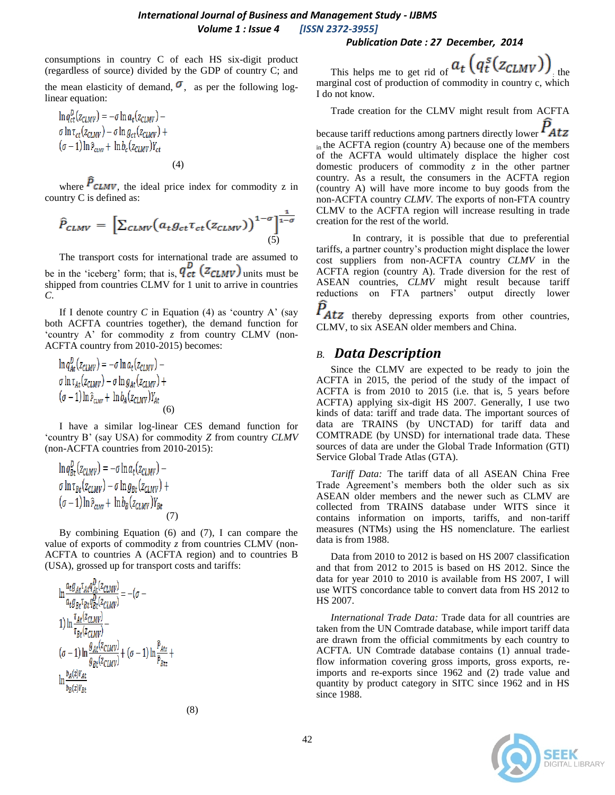### *International Journal of Business and Management Study - IJBMS Volume 1 : Issue 4 [ISSN 2372-3955]*

consumptions in country C of each HS six-digit product (regardless of source) divided by the GDP of country C; and

the mean elasticity of demand,  $\sigma$ , as per the following loglinear equation:

$$
\ln q_{ct}^D(z_{CLMV}) = -\sigma \ln a_t(z_{CLMV}) - \sigma \ln \tau_{ct}(z_{CLMV}) +
$$
  
\n
$$
(\sigma - 1) \ln \hat{P}_{CLMV} + \ln b_c(z_{CLMV}) Y_{ct}
$$
  
\n(4)

where  $P_{CLMV}$ , the ideal price index for commodity z in country C is defined as:

$$
\hat{P}_{CLMV} = \left[ \sum_{CLMV} \left( a_t g_{ct} \tau_{ct} (z_{CLMV}) \right)^{1-\sigma} \right]_{(5)}^{\frac{1}{1-\sigma}}
$$

The transport costs for international trade are assumed to be in the 'iceberg' form; that is,  $q_{ct}^{D}$  ( $z_{CLMV}$ ) units must be shipped from countries CLMV for 1 unit to arrive in countries *C*.

If I denote country *C* in Equation (4) as 'country A' (say both ACFTA countries together), the demand function for "country A" for commodity *z* from country CLMV (non-ACFTA country from 2010-2015) becomes:

$$
\ln q_{At}^{D}(z_{CLMV}) = -\sigma \ln a_{t}(z_{CLMV}) - \sigma \ln \tau_{At}(z_{CLMV}) + \sigma \ln \rho_{At}(z_{CLMV}) + \frac{\sigma \ln \rho_{At}(z_{CLMV})}{\sigma - 1} \ln \hat{P}_{CLMV} + \ln b_{A}(z_{CLMV})Y_{At}
$$
\n(6)

I have a similar log-linear CES demand function for "country B" (say USA) for commodity *Z* from country *CLMV*  (non-ACFTA countries from 2010-2015):

$$
\ln q_{Bt}^D(z_{CLMV}) = -\sigma \ln a_t(z_{CLMV}) - \sigma \ln \tau_{Bt}(z_{CLMV}) + \sigma \ln \hat{P}_{CLMV} + \ln b_B(z_{CLMV})Y_{Bt}
$$
\n
$$
(\sigma - 1) \ln \hat{P}_{CLMV} + \ln b_B(z_{CLMV})Y_{Bt}
$$
\n(7)

By combining Equation (6) and (7), I can compare the value of exports of commodity *z* from countries CLMV (non-ACFTA to countries A (ACFTA region) and to countries B (USA), grossed up for transport costs and tariffs:

$$
\ln \frac{a_t g_{At} \tau_{At} q_{dt}^{d}(z_{CLMV})}{a_t g_{Bt} \tau_{Bt} q_{Bt}^{d}(z_{CLMV})} = -(\sigma -
$$
\n
$$
1) \ln \frac{\tau_{At} (z_{CLMV})}{\tau_{Bt} (z_{CLMV})} -
$$
\n
$$
(\sigma - 1) \ln \frac{g_{At} (z_{CLMV})}{g_{Bt} (z_{CLMV})} + (\sigma - 1) \ln \frac{\hat{p}_{Atz}}{\hat{p}_{Btz}} +
$$
\n
$$
\ln \frac{b_A(z) \gamma_{At}}{b_B(z) \gamma_{Bt}}
$$

This helps me to get rid of  $a_t$   $(q_t^s(z_{CLMV}))$ <sub>the</sub> marginal cost of production of commodity in country c, which I do not know.

Trade creation for the CLMV might result from ACFTA

because tariff reductions among partners directly lower  $P_{Atz}$  $\overline{\text{in}}$  the ACFTA region (country A) because one of the members of the ACFTA would ultimately displace the higher cost domestic producers of commodity *z* in the other partner country. As a result, the consumers in the ACFTA region (country A) will have more income to buy goods from the non-ACFTA country *CLMV.* The exports of non-FTA country CLMV to the ACFTA region will increase resulting in trade creation for the rest of the world.

In contrary, it is possible that due to preferential tariffs, a partner country"s production might displace the lower cost suppliers from non-ACFTA country *CLMV* in the ACFTA region (country A). Trade diversion for the rest of ASEAN countries, *CLMV* might result because tariff reductions on FTA partners' output directly lower

thereby depressing exports from other countries, CLMV, to six ASEAN older members and China.

### *B. Data Description*

Since the CLMV are expected to be ready to join the ACFTA in 2015, the period of the study of the impact of ACFTA is from 2010 to 2015 (i.e. that is, 5 years before ACFTA) applying six-digit HS 2007. Generally, I use two kinds of data: tariff and trade data. The important sources of data are TRAINS (by UNCTAD) for tariff data and COMTRADE (by UNSD) for international trade data. These sources of data are under the Global Trade Information (GTI) Service Global Trade Atlas (GTA).

*Tariff Data:* The tariff data of all ASEAN China Free Trade Agreement's members both the older such as six ASEAN older members and the newer such as CLMV are collected from TRAINS database under WITS since it contains information on imports, tariffs, and non-tariff measures (NTMs) using the HS nomenclature. The earliest data is from 1988.

Data from 2010 to 2012 is based on HS 2007 classification and that from 2012 to 2015 is based on HS 2012. Since the data for year 2010 to 2010 is available from HS 2007, I will use WITS concordance table to convert data from HS 2012 to HS 2007.

*International Trade Data:* Trade data for all countries are taken from the UN Comtrade database, while import tariff data are drawn from the official commitments by each country to ACFTA. UN Comtrade database contains (1) annual tradeflow information covering gross imports, gross exports, reimports and re-exports since 1962 and (2) trade value and quantity by product category in SITC since 1962 and in HS since 1988.